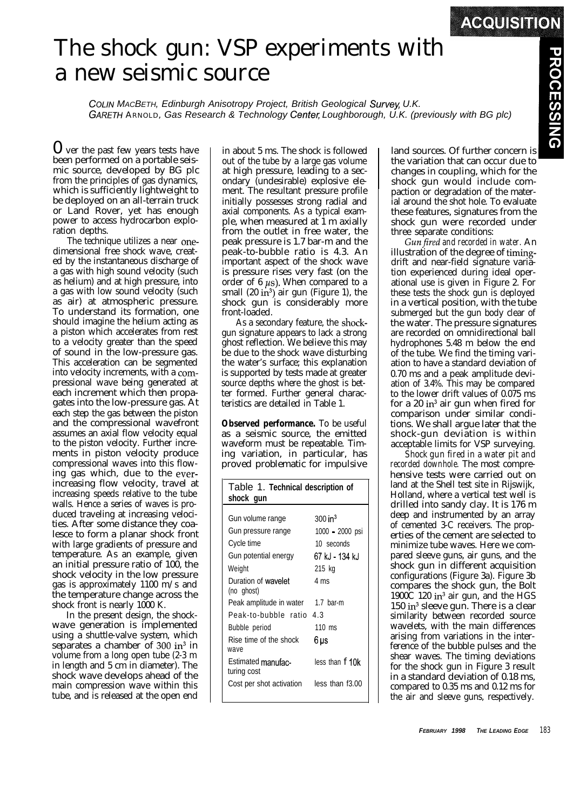## The shock gun: VSP experiments with a new seismic source

**COLIN MACBETH, Edinburgh Anisotropy Project, British Geological Survey, U.K.** *GARETH ARNOLD, Gas Research & Technology Centel; Loughborough, U.K. (previously with BG plc)*

0 ver the past few years tests have been performed on a portable seismic source, developed by BG plc from the principles of gas dynamics, which is sufficiently lightweight to be deployed on an all-terrain truck or Land Rover, yet has enough power to access hydrocarbon exploration depths.

The technique utilizes a near onedimensional free shock wave, created by the instantaneous discharge of a gas with high sound velocity (such as helium) and at high pressure, into a gas with low sound velocity (such as air) at atmospheric pressure. To understand its formation, one should imagine the helium acting as a piston which accelerates from rest to a velocity greater than the speed of sound in the low-pressure gas. This acceleration can be segmented into velocity increments, with a compressional wave being generated at each increment which then propagates into the low-pressure gas. At each step the gas between the piston and the compressional wavefront assumes an axial flow velocity equal to the piston velocity. Further increments in piston velocity produce compressional waves into this flowing gas which, due to the everincreasing flow velocity, travel at increasing speeds relative to the tube walls. Hence a series of waves is produced traveling at increasing velocities. After some distance they coalesce to form a planar shock front with large gradients of pressure and temperature. As an example, given an initial pressure ratio of 100, the shock velocity in the low pressure gas is approximately 1100 m/s and the temperature change across the shock front is nearly 1000 K.

In the present design, the shockwave generation is implemented using a shuttle-valve system, which separates a chamber of  $300 \text{ in}^3$  in volume from a long open tube (2-3 m in length and 5 cm in diameter). The shock wave develops ahead of the main compression wave within this tube, and is released at the open end in about 5 ms. The shock is followed out of the tube by a large gas volume at high pressure, leading to a secondary (undesirable) explosive element. The resultant pressure profile initially possesses strong radial and axial components. As a typical example, when measured at 1 m axially from the outlet in free water, the peak pressure is 1.7 bar-m and the peak-to-bubble ratio is 4.3. An important aspect of the shock wave is pressure rises very fast (on the order of 6  $\mu$ s). When compared to a small  $(20 \text{ in}^3)$  air gun (Figure 1), the shock gun is considerably more front-loaded.

As a secondary feature, the shockgun signature appears to lack a strong ghost reflection. We believe this may be due to the shock wave disturbing the water's surface; this explanation is supported by tests made at greater source depths where the ghost is better formed. Further general characteristics are detailed in Table 1.

**Observed performance.** To be useful as a seismic source, the emitted waveform must be repeatable. Timing variation, in particular, has proved problematic for impulsive

| Table 1. Technical description of<br>shock gun |                      |
|------------------------------------------------|----------------------|
|                                                |                      |
| Gun volume range                               | $300 \; \text{in}^3$ |
| Gun pressure range                             | 1000 - 2000 psi      |
| Cycle time                                     | 10 seconds           |
| Gun potential energy                           | 67 kJ - 134 kJ       |
| Weight                                         | 215 kg               |
| Duration of wavelet                            | $4 \text{ ms}$       |
| (no ghost)                                     |                      |
| Peak amplitude in water                        | 1.7 bar-m            |
| Peak-to-bubble ratio                           | 4.3                  |
| Bubble period                                  | 110 ms               |
| Rise time of the shock<br>waye                 | 6 us                 |
| Estimated manufac-<br>turing cost              | less than f 10k      |
| Cost per shot activation                       | less than f3.00      |

land sources. Of further concern is the variation that can occur due to changes in coupling, which for the shock gun would include compaction or degradation of the material around the shot hole. To evaluate these features, signatures from the shock gun were recorded under three separate conditions:

*Gunfired and recorded in water.* An illustration of the degree of timingdrift and near-field signature variation experienced during ideal operational use is given in Figure 2. For these tests the shock gun is deployed in a vertical position, with the tube submerged but the gun body clear of the water. The pressure signatures are recorded on omnidirectional ball hydrophones 5.48 m below the end of the tube. We find the timing variation to have a standard deviation of 0.70 ms and a peak amplitude deviation of 3.4%. This may be compared to the lower drift values of 0.075 ms for a 20 in<sup>3</sup> air gun when fired for comparison under similar conditions. We shall argue later that the shock-gun deviation is within acceptable limits for VSP surveying.

*Shock gun fired in a water pit and recorded downhole.* The most comprehensive tests were carried out on land at the Shell test site in Rijswijk, Holland, where a vertical test well is drilled into sandy clay. It is 176 m deep and instrumented by an array of cemented 3-C receivers. The properties of the cement are selected to minimize tube waves. Here we compared sleeve guns, air guns, and the shock gun in different acquisition configurations (Figure 3a). Figure 3b compares the shock gun, the Bolt 1900C 120  $in^3$  air gun, and the HGS 150 in<sup>3</sup> sleeve gun. There is a clear similarity between recorded source wavelets, with the main differences arising from variations in the interference of the bubble pulses and the shear waves. The timing deviations for the shock gun in Figure 3 result in a standard deviation of 0.18 ms, compared to 0.35 ms and 0.12 ms for the air and sleeve guns, respectively.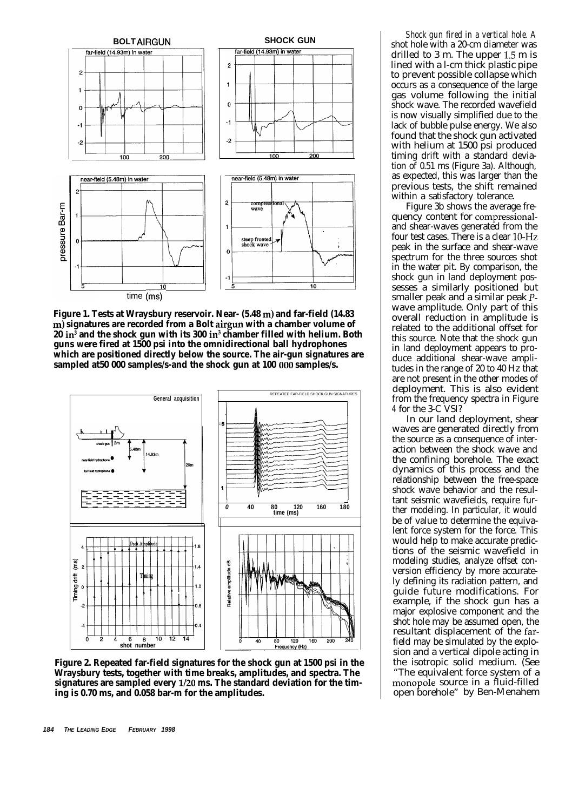

**Figure 1. Tests at Wraysbury reservoir. Near- (5.48 m) and far-field (14.83 m) signatures are recorded from a Bolt airgun with a chamber volume of 20 in3 and the shock gun with its 300 in3 chamber filled with helium. Both guns were fired at 1500 psi into the omnidirectional ball hydrophones which are positioned directly below the source. The air-gun signatures are sampled at50 000 samples/s-and the shock gun at 100 006 samples/s.**



**Figure 2. Repeated far-field signatures for the shock gun at 1500 psi in the Wraysbury tests, together with time breaks, amplitudes, and spectra. The signatures are sampled every l/20 ms. The standard deviation for the timing is 0.70 ms, and 0.058 bar-m for the amplitudes.**

*Shock gun fired in a vertical hole. A* shot hole with a 20-cm diameter was drilled to 3 m. The upper 1.5 m is lined with a l-cm thick plastic pipe to prevent possible collapse which occurs as a consequence of the large gas volume following the initial shock wave. The recorded wavefield is now visually simplified due to the lack of bubble pulse energy. We also found that the shock gun activated with helium at 1500 psi produced timing drift with a standard deviation of 0.51 ms (Figure 3a). Although, as expected, this was larger than the previous tests, the shift remained within a satisfactory tolerance.

Figure 3b shows the average frequency content for compressionaland shear-waves generated from the four test cases. There is a clear 10-Hz peak in the surface and shear-wave spectrum for the three sources shot in the water pit. By comparison, the shock gun in land deployment possesses a similarly positioned but smaller peak and a similar peak Pwave amplitude. Only part of this overall reduction in amplitude is related to the additional offset for this source. Note that the shock gun in land deployment appears to produce additional shear-wave amplitudes in the range of 20 to 40 Hz that are not present in the other modes of deployment. This is also evident from the frequency spectra in Figure *4* for the 3-C VSI?

In our land deployment, shear waves are generated directly from the source as a consequence of interaction between the shock wave and the confining borehole. The exact dynamics of this process and the relationship between the free-space shock wave behavior and the resultant seismic wavefields, require further modeling. In particular, it would be of value to determine the equivalent force system for the force. This would help to make accurate predictions of the seismic wavefield in modeling studies, analyze offset conversion efficiency by more accurately defining its radiation pattern, and guide future modifications. For example, if the shock gun has a major explosive component and the shot hole may be assumed open, the resultant displacement of the farfield may be simulated by the explosion and a vertical dipole acting in the isotropic solid medium. (See "The equivalent force system of a monopole source in a fluid-filled open borehole" by Ben-Menahem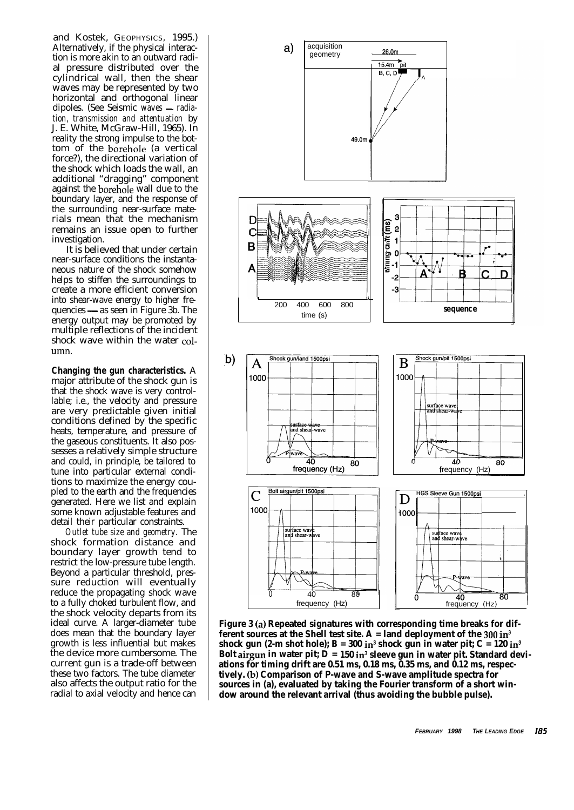and Kostek, GEOPHYSICS, 1995.) Alternatively, if the physical interaction is more akin to an outward radial pressure distributed over the cylindrical wall, then the shear waves may be represented by two horizontal and orthogonal linear dipoles. (See Seismic waves - radia*tion, transmission and attentuation* by J. E. White, McGraw-Hill, 1965). In reality the strong impulse to the bottom of the borehole (a vertical force?), the directional variation of the shock which loads the wall, an additional "dragging" component against the borehole wall due to the boundary layer, and the response of the surrounding near-surface materials mean that the mechanism remains an issue open to further investigation.

It is believed that under certain near-surface conditions the instantaneous nature of the shock somehow helps to stiffen the surroundings to create a more efficient conversion into shear-wave energy to higher frequencies — as seen in Figure 3b. The energy output may be promoted by multiple reflections of the incident shock wave within the water column.

**Changing the gun characteristics.** A major attribute of the shock gun is that the shock wave is very controllable; i.e., the velocity and pressure are very predictable given initial conditions defined by the specific heats, temperature, and pressure of the gaseous constituents. It also possesses a relatively simple structure and could, in principle, be tailored to tune into particular external conditions to maximize the energy coupled to the earth and the frequencies generated. Here we list and explain some known adjustable features and detail their particular constraints.

*Outlet tube size and geometry.* The shock formation distance and boundary layer growth tend to restrict the low-pressure tube length. Beyond a particular threshold, pressure reduction will eventually reduce the propagating shock wave to a fully choked turbulent flow, and the shock velocity departs from its ideal curve. A larger-diameter tube does mean that the boundary layer growth is less influential but makes the device more cumbersome. The current gun is a trade-off between these two factors. The tube diameter also affects the output ratio for the radial to axial velocity and hence can



**Figure 3 (a) Repeated signatures with corresponding time breaks for different sources at the Shell test site. A = land deployment of the**  $300 \text{ in}^3$ shock gun (2-m shot hole);  $B = 300$  in<sup>3</sup> shock gun in water pit;  $C = 120$  in<sup>3</sup> **Bolt airgun in water pit; D = 150 in3 sleeve gun in water pit. Standard deviations for timing drift are 0.51 ms, 0.18 ms, 0.35 ms, and 0.12 ms, respectively. (b) Comparison of P-wave and S-wave amplitude spectra for sources in (a), evaluated by taking the Fourier transform of a short window around the relevant arrival (thus avoiding the bubble pulse).**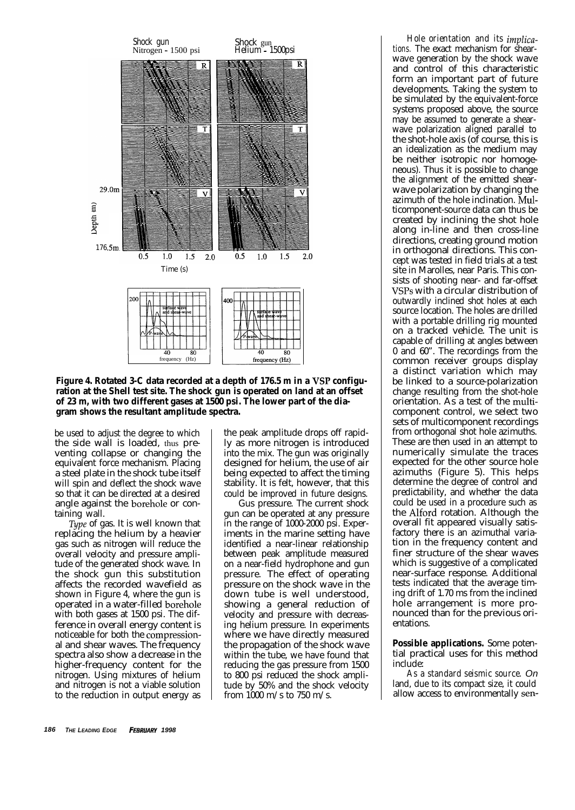

Figure 4. Rotated 3-C data recorded at a depth of 176.5 m in a VSP configu**ration at the Shell test site. The shock gun is operated on land at an offset of 23 m, with two different gases at 1500 psi. The lower part of the diagram shows the resultant amplitude spectra.**

be used to adjust the degree to which the side wall is loaded, thus preventing collapse or changing the equivalent force mechanism. Placing a steel plate in the shock tube itself will spin and deflect the shock wave so that it can be directed at a desired angle against the borehole or containing wall.

Type of gas. It is well known that replacing the helium by a heavier gas such as nitrogen will reduce the overall velocity and pressure amplitude of the generated shock wave. In the shock gun this substitution affects the recorded wavefield as shown in Figure 4, where the gun is operated in a water-filled borehole with both gases at 1500 psi. The difference in overall energy content is noticeable for both the compressional and shear waves. The frequency spectra also show a decrease in the higher-frequency content for the nitrogen. Using mixtures of helium and nitrogen is not a viable solution to the reduction in output energy as

the peak amplitude drops off rapidly as more nitrogen is introduced into the mix. The gun was originally designed for helium, the use of air being expected to affect the timing stability. It is felt, however, that this could be improved in future designs.

Gus pressure. The current shock gun can be operated at any pressure in the range of 1000-2000 psi. Experiments in the marine setting have identified a near-linear relationship between peak amplitude measured on a near-field hydrophone and gun pressure. The effect of operating pressure on the shock wave in the down tube is well understood, showing a general reduction of velocity and pressure with decreasing helium pressure. In experiments where we have directly measured the propagation of the shock wave within the tube, we have found that reducing the gas pressure from 1500 to 800 psi reduced the shock amplitude by 50% and the shock velocity from 1000 m/s to 750 m/s.

*Hole orientation and its implications.* The exact mechanism for shearwave generation by the shock wave and control of this characteristic form an important part of future developments. Taking the system to be simulated by the equivalent-force systems proposed above, the source may be assumed to generate a shearwave polarization aligned parallel to the shot-hole axis (of course, this is an idealization as the medium may be neither isotropic nor homogeneous). Thus it is possible to change the alignment of the emitted shearwave polarization by changing the azimuth of the hole inclination. Multicomponent-source data can thus be created by inclining the shot hole along in-line and then cross-line directions, creating ground motion in orthogonal directions. This concept was tested in field trials at a test site in Marolles, near Paris. This consists of shooting near- and far-offset VSPs with a circular distribution of outwardly inclined shot holes at each source location. The holes are drilled with a portable drilling rig mounted on a tracked vehicle. The unit is capable of drilling at angles between 0 and 60". The recordings from the common receiver groups display a distinct variation which may be linked to a source-polarization change resulting from the shot-hole orientation. As a test of the multicomponent control, we select two sets of multicomponent recordings from orthogonal shot hole azimuths. These are then used in an attempt to numerically simulate the traces expected for the other source hole azimuths (Figure 5). This helps determine the degree of control and predictability, and whether the data could be used in a procedure such as the Alford rotation. Although the overall fit appeared visually satisfactory there is an azimuthal variation in the frequency content and finer structure of the shear waves which is suggestive of a complicated near-surface response. Additional tests indicated that the average timing drift of 1.70 ms from the inclined hole arrangement is more pronounced than for the previous orientations.

**Possible applications.** Some potential practical uses for this method include:

*As a standard seismic source. On* land, due to its compact size, it could allow access to environmentally sen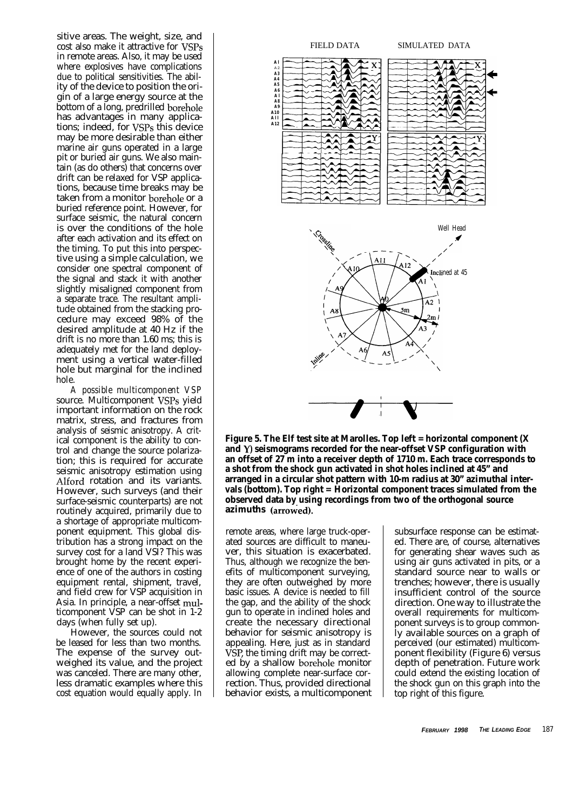sitive areas. The weight, size, and cost also make it attractive for VSPs in remote areas. Also, it may be used where explosives have complications due to political sensitivities. The ability of the device to position the origin of a large energy source at the bottom of a long, predrilled borehole has advantages in many applications; indeed, for VSPs this device may be more desirable than either marine air guns operated in a large pit or buried air guns. We also maintain (as do others) that concerns over drift can be relaxed for VSP applications, because time breaks may be taken from a monitor borehole or a buried reference point. However, for surface seismic, the natural concern is over the conditions of the hole after each activation and its effect on the timing. To put this into perspective using a simple calculation, we consider one spectral component of the signal and stack it with another slightly misaligned component from a separate trace. The resultant amplitude obtained from the stacking procedure may exceed 98% of the desired amplitude at 40 Hz if the drift is no more than 1.60 ms; this is adequately met for the land deployment using a vertical water-filled hole but marginal for the inclined hole.

*A possible multicomponent VSP* source. Multicomponent VSPs yield important information on the rock matrix, stress, and fractures from analysis of seismic anisotropy. A critical component is the ability to control and change the source polarization; this is required for accurate seismic anisotropy estimation using Alford rotation and its variants. However, such surveys (and their surface-seismic counterparts) are not routinely acquired, primarily due to a shortage of appropriate multicomponent equipment. This global distribution has a strong impact on the survey cost for a land VSI? This was brought home by the recent experience of one of the authors in costing equipment rental, shipment, travel, and field crew for VSP acquisition in Asia. In principle, a near-offset multicomponent VSP can be shot in 1-2 days (when fully set up).

However, the sources could not be leased for less than two months. The expense of the survey outweighed its value, and the project was canceled. There are many other, less dramatic examples where this cost equation would equally apply. In



**Figure 5. The Elf test site at Marolles. Top left = horizontal component (X and Y) seismograms recorded for the near-offset VSP configuration with an offset of 27 m into a receiver depth of 1710 m. Each trace corresponds to a shot from the shock gun activated in shot holes inclined at 45" and arranged in a circular shot pattern with 10-m radius at 30" azimuthal intervals (bottom). Top right = Horizontal component traces simulated from the observed data by using recordings from two of the orthogonal source azimuths (arrowed). -**

remote areas, where large truck-operated sources are difficult to maneuver, this situation is exacerbated. Thus, although we recognize the benefits of multicomponent surveying, they are often outweighed by more basic issues. A device is needed to fill the gap, and the ability of the shock gun to operate in inclined holes and create the necessary directional behavior for seismic anisotropy is appealing. Here, just as in standard VSP, the timing drift may be corrected by a shallow borehole monitor allowing complete near-surface correction. Thus, provided directional behavior exists, a multicomponent

subsurface response can be estimated. There are, of course, alternatives for generating shear waves such as using air guns activated in pits, or a standard source near to walls or trenches; however, there is usually insufficient control of the source direction. One way to illustrate the overall requirements for multicomponent surveys is to group commonly available sources on a graph of perceived (our estimated) multicomponent flexibility (Figure 6) versus depth of penetration. Future work could extend the existing location of the shock gun on this graph into the top right of this figure.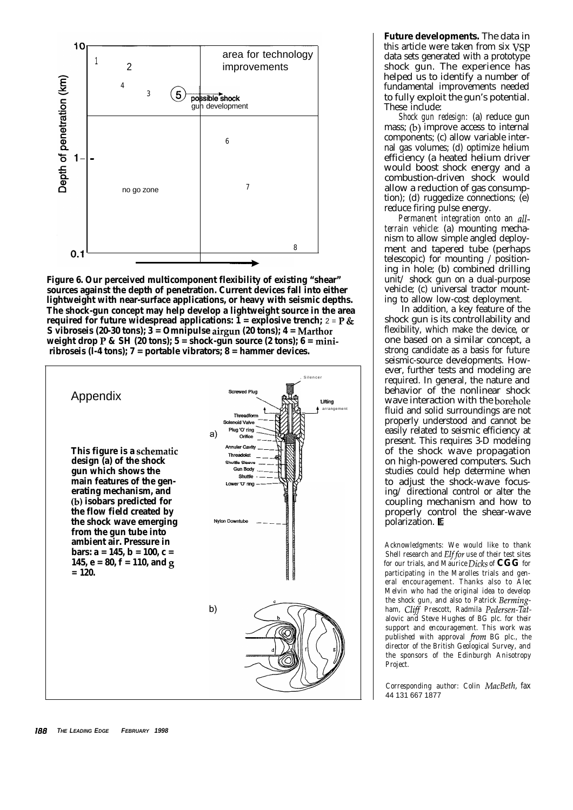

**Figure 6. Our perceived multicomponent flexibility of existing "shear" sources against the depth of penetration. Current devices fall into either lightweight with near-surface applications, or heavy with seismic depths. The shock-gun concept may help develop a lightweight source in the area required for future widespread applications:**  $\mathbf{1} = \text{explosive}$  trench;  $2 = P \&$ **S vibroseis (20-30 tons); 3 = Omnipulse airgun (20 tons); 4 = Marthor weight drop P & SH (20 tons); 5 = shock-gun source (2 tons); 6 = miniribroseis (l-4 tons); 7 = portable vibrators; 8 = hammer devices.**



**Future developments.** The data in this article were taken from six VSP data sets generated with a prototype shock gun. The experience has helped us to identify a number of fundamental improvements needed to fully exploit the gun's potential. These include:

*Shock gun redesign:* (a) reduce gun mass; (b) improve access to internal components; (c) allow variable internal gas volumes; (d) optimize helium efficiency (a heated helium driver would boost shock energy and a combustion-driven shock would allow a reduction of gas consumption); (d) ruggedize connections; (e) reduce firing pulse energy.

*Permanent integration onto an allterrain vehicle:* (a) mounting mechanism to allow simple angled deployment and tapered tube (perhaps telescopic) for mounting / positioning in hole; (b) combined drilling unit/ shock gun on a dual-purpose vehicle; (c) universal tractor mounting to allow low-cost deployment.

In addition, a key feature of the shock gun is its controllability and flexibility, which make the device, or one based on a similar concept, a strong candidate as a basis for future seismic-source developments. However, further tests and modeling are required. In general, the nature and behavior of the nonlinear shock wave interaction with the borehole fluid and solid surroundings are not properly understood and cannot be easily related to seismic efficiency at present. This requires 3-D modeling of the shock wave propagation on high-powered computers. Such studies could help determine when to adjust the shock-wave focusing/ directional control or alter the coupling mechanism and how to properly control the shear-wave polarization. E

*Acknowledgments: We would like to thank Shell research and Elffor use of their test sites for our trials, and Maurice Dicks of* **CGG** *for participating in the Marolles trials and general encouragement. Thanks also to Alec Melvin who had the original idea to develop the shock gun, and also to Patrick Bermingham, Clifl Prescott, Radmila Pedersen-Tatalovic and Steve Hughes of BG plc. for their support and encouragement. This work was published with approval from BG plc., the director of the British Geological Survey, and the sponsors of the Edinburgh Anisotropy Project.*

*Corresponding author: Colin MacBeth, fax* 44 131 667 1877